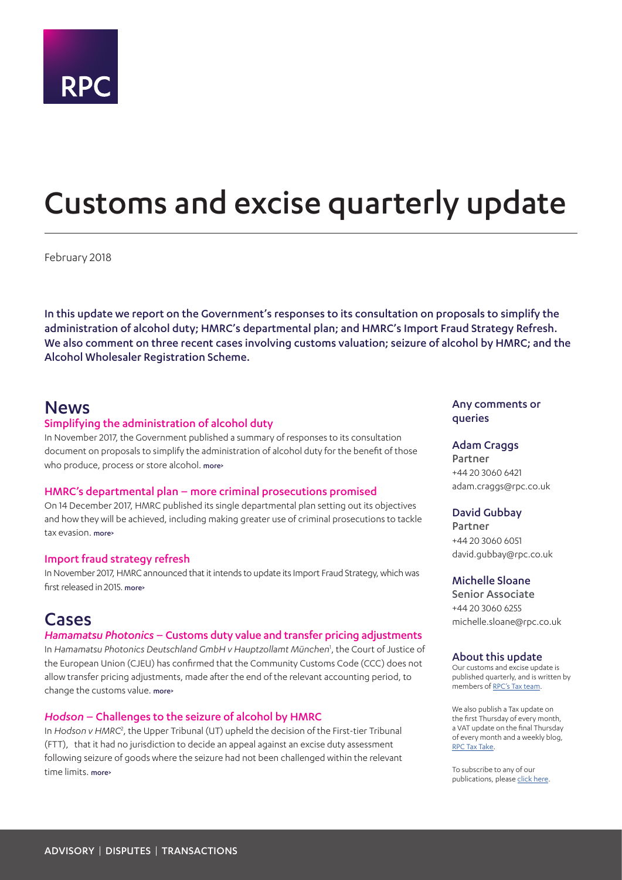

# <span id="page-0-0"></span>Customs and excise quarterly update

February 2018

In this update we report on the Government's responses to its consultation on proposals to simplify the administration of alcohol duty; HMRC's departmental plan; and HMRC's Import Fraud Strategy Refresh. We also comment on three recent cases involving customs valuation; seizure of alcohol by HMRC; and the Alcohol Wholesaler Registration Scheme.

## News

#### Simplifying the administration of alcohol duty

In November 2017, the Government published a summary of responses to its consultation document on proposals to simplify the administration of alcohol duty for the benefit of those who produce, process or store alcohol, more

#### HMRC's departmental plan – more criminal prosecutions promised

On 14 December 2017, HMRC published its single departmental plan setting out its objectives and how they will be achieved, including making greater use of criminal prosecutions to tackle tax evasion. [more>](#page-2-1)

#### Import fraud strategy refresh

In November 2017, HMRC announced that it intends to update its Import Fraud Strategy, which was first released in 2015. [more>](#page-3-0)

## Cases

#### *Hamamatsu Photonics* – Customs duty value and transfer pricing adjustments

In *Hamamatsu Photonics Deutschland GmbH v Hauptzollamt München*[1](#page-4-0) , the Court of Justice of the European Union (CJEU) has confirmed that the Community Customs Code (CCC) does not allow transfer pricing adjustments, made after the end of the relevant accounting period, to change the customs value. [more>](#page-4-1)

#### *Hodson* – Challenges to the seizure of alcohol by HMRC

In Hodson v HMRC<sup>[2](#page-5-0)</sup>, the Upper Tribunal (UT) upheld the decision of the First-tier Tribunal (FTT), that it had no jurisdiction to decide an appeal against an excise duty assessment following seizure of goods where the seizure had not been challenged within the relevant time limits. [more>](#page-5-1)

#### Any comments or queries

#### Adam Craggs

Partner +44 20 3060 6421 adam.craggs@rpc.co.uk

#### David Gubbay

Partner +44 20 3060 6051 david.gubbay@rpc.co.uk

#### Michelle Sloane

Senior Associate +44 20 3060 6255 michelle.sloane@rpc.co.uk

#### About this update

Our customs and excise update is published quarterly, and is written by members of [RPC's Tax team](https://www.rpc.co.uk/expertise/disputes-litigation-and-investigations/tax-disputes).

We also publish a Tax update on the first Thursday of every month, a VAT update on the final Thursday of every month and a weekly blog, [RPC Tax Take](https://www.rpc.co.uk/perspectives/?topic=tax-take).

To subscribe to any of our publications, please [click here](https://sites-rpc.vuturevx.com/5/8/landing-pages/subscribe-london.asp).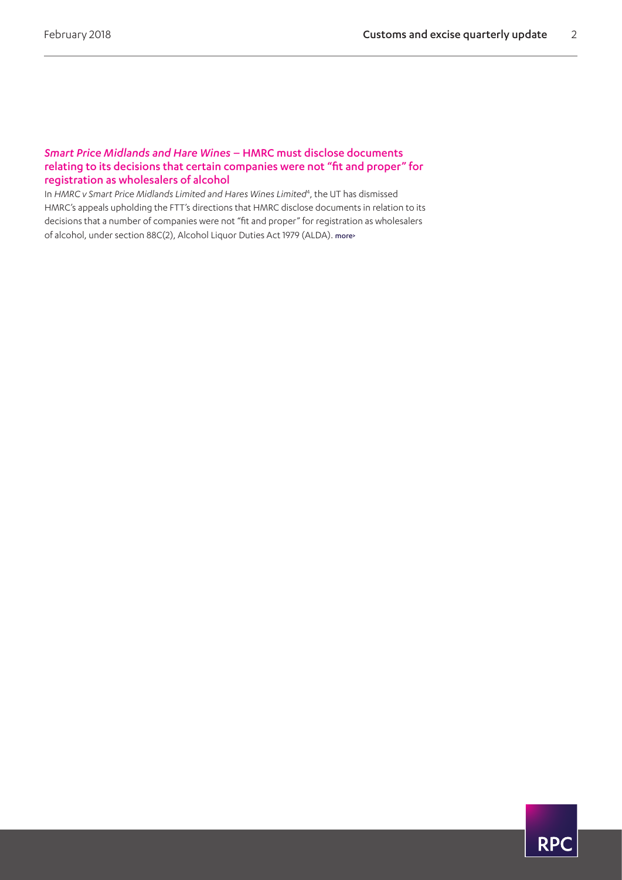#### *Smart Price Midlands and Hare Wines* – HMRC must disclose documents relating to its decisions that certain companies were not "fit and proper" for registration as wholesalers of alcohol

In HMRC v Smart Price Midlands Limited and Hares Wines Limited<sup>[4](#page-7-0)</sup>, the UT has dismissed HMRC's appeals upholding the FTT's directions that HMRC disclose documents in relation to its decisions that a number of companies were not "fit and proper" for registration as wholesalers of alcohol, under section 88C(2), Alcohol Liquor Duties Act 1979 (ALDA). [more>](#page-7-1)

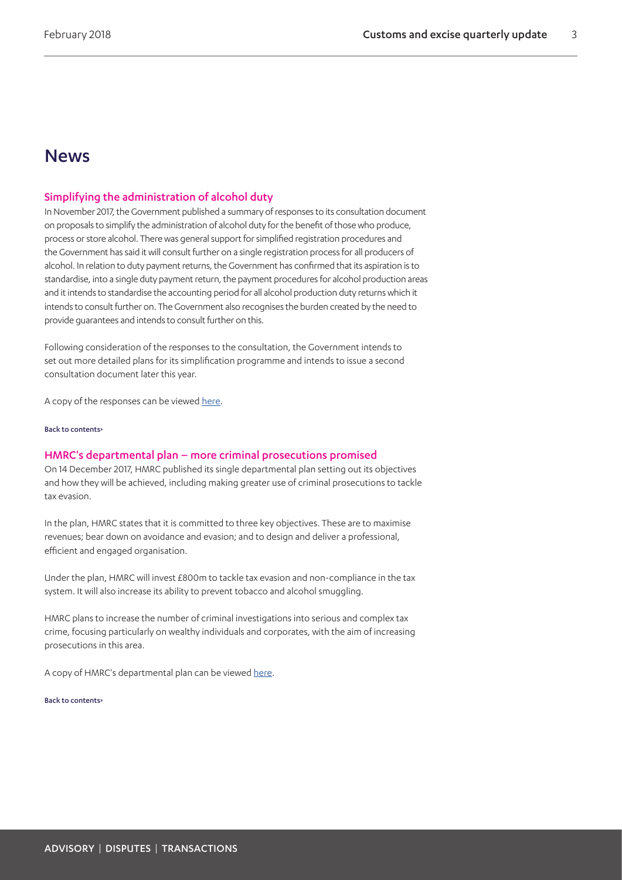## News

#### <span id="page-2-0"></span>Simplifying the administration of alcohol duty

In November 2017, the Government published a summary of responses to its consultation document on proposals to simplify the administration of alcohol duty for the benefit of those who produce, process or store alcohol. There was general support for simplified registration procedures and the Government has said it will consult further on a single registration process for all producers of alcohol. In relation to duty payment returns, the Government has confirmed that its aspiration is to standardise, into a single duty payment return, the payment procedures for alcohol production areas and it intends to standardise the accounting period for all alcohol production duty returns which it intends to consult further on. The Government also recognises the burden created by the need to provide guarantees and intends to consult further on this.

Following consideration of the responses to the consultation, the Government intends to set out more detailed plans for its simplification programme and intends to issue a second consultation document later this year.

A copy of the responses can be viewed [here.](https://www.gov.uk/government/uploads/system/uploads/attachment_data/file/657334/Simplifying_the_administration_of_Alcohol_Duty_-_summary_of_responses.pdf)

[Back to contents>](#page-0-0)

#### <span id="page-2-1"></span>HMRC's departmental plan – more criminal prosecutions promised

On 14 December 2017, HMRC published its single departmental plan setting out its objectives and how they will be achieved, including making greater use of criminal prosecutions to tackle tax evasion.

In the plan, HMRC states that it is committed to three key objectives. These are to maximise revenues; bear down on avoidance and evasion; and to design and deliver a professional, efficient and engaged organisation.

Under the plan, HMRC will invest £800m to tackle tax evasion and non-compliance in the tax system. It will also increase its ability to prevent tobacco and alcohol smuggling.

HMRC plans to increase the number of criminal investigations into serious and complex tax crime, focusing particularly on wealthy individuals and corporates, with the aim of increasing prosecutions in this area.

A copy of HMRC's departmental plan can be viewed [here](https://www.gov.uk/government/publications/hm-revenue-and-customs-single-departmental-plan/hm-revenue-and-customs-single-departmental-plan).

[Back to contents>](#page-0-0)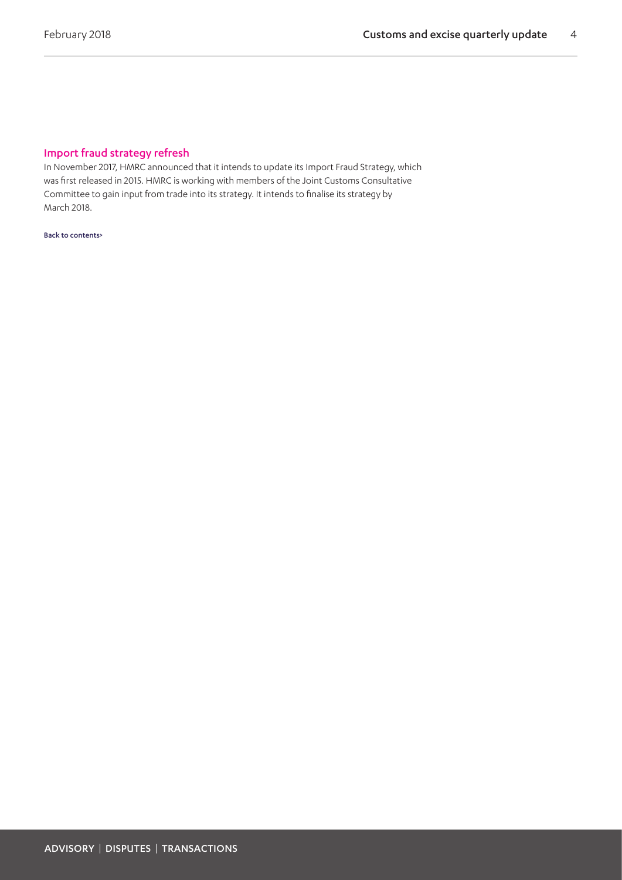## <span id="page-3-0"></span>Import fraud strategy refresh

In November 2017, HMRC announced that it intends to update its Import Fraud Strategy, which was first released in 2015. HMRC is working with members of the Joint Customs Consultative Committee to gain input from trade into its strategy. It intends to finalise its strategy by March 2018.

[Back to contents>](#page-0-0)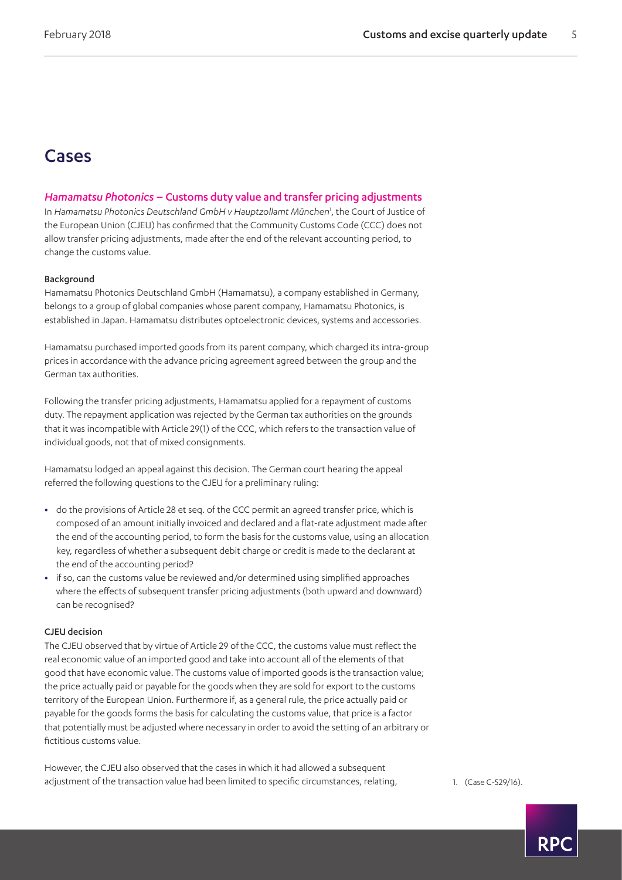## Cases

#### <span id="page-4-1"></span>*Hamamatsu Photonics* – Customs duty value and transfer pricing adjustments

In *Hamamatsu Photonics Deutschland GmbH v Hauptzollamt München*[1](#page-4-0) , the Court of Justice of the European Union (CJEU) has confirmed that the Community Customs Code (CCC) does not allow transfer pricing adjustments, made after the end of the relevant accounting period, to change the customs value.

#### Background

Hamamatsu Photonics Deutschland GmbH (Hamamatsu), a company established in Germany, belongs to a group of global companies whose parent company, Hamamatsu Photonics, is established in Japan. Hamamatsu distributes optoelectronic devices, systems and accessories.

Hamamatsu purchased imported goods from its parent company, which charged its intra-group prices in accordance with the advance pricing agreement agreed between the group and the German tax authorities.

Following the transfer pricing adjustments, Hamamatsu applied for a repayment of customs duty. The repayment application was rejected by the German tax authorities on the grounds that it was incompatible with Article 29(1) of the CCC, which refers to the transaction value of individual goods, not that of mixed consignments.

Hamamatsu lodged an appeal against this decision. The German court hearing the appeal referred the following questions to the CJEU for a preliminary ruling:

- **•** do the provisions of Article 28 et seq. of the CCC permit an agreed transfer price, which is composed of an amount initially invoiced and declared and a flat-rate adjustment made after the end of the accounting period, to form the basis for the customs value, using an allocation key, regardless of whether a subsequent debit charge or credit is made to the declarant at the end of the accounting period?
- **•** if so, can the customs value be reviewed and/or determined using simplified approaches where the effects of subsequent transfer pricing adjustments (both upward and downward) can be recognised?

#### CJEU decision

The CJEU observed that by virtue of Article 29 of the CCC, the customs value must reflect the real economic value of an imported good and take into account all of the elements of that good that have economic value. The customs value of imported goods is the transaction value; the price actually paid or payable for the goods when they are sold for export to the customs territory of the European Union. Furthermore if, as a general rule, the price actually paid or payable for the goods forms the basis for calculating the customs value, that price is a factor that potentially must be adjusted where necessary in order to avoid the setting of an arbitrary or fictitious customs value.

However, the CJEU also observed that the cases in which it had allowed a subsequent adjustment of the transaction value had been limited to specific circumstances, relating, 1. (Case C-529/16).

<span id="page-4-0"></span>

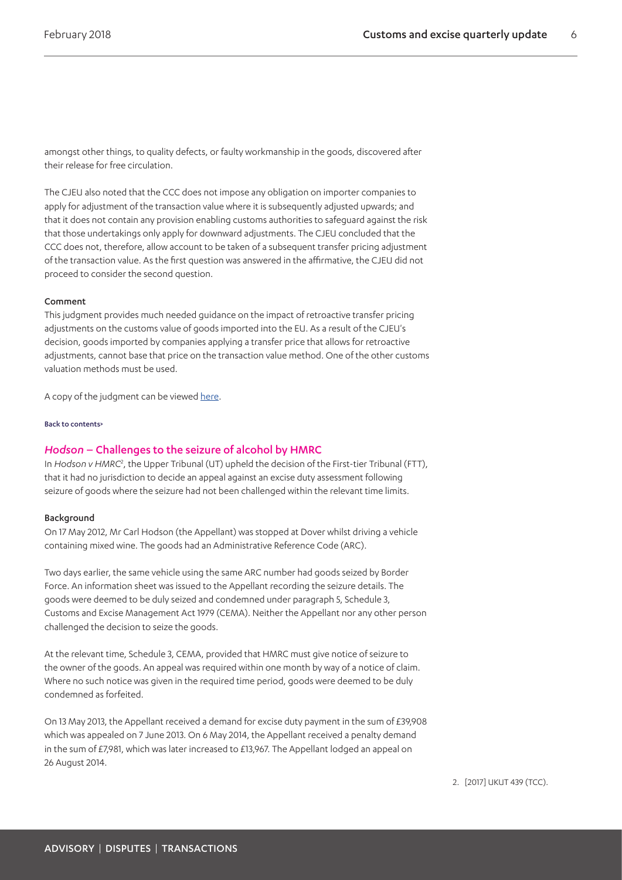amongst other things, to quality defects, or faulty workmanship in the goods, discovered after their release for free circulation.

The CJEU also noted that the CCC does not impose any obligation on importer companies to apply for adjustment of the transaction value where it is subsequently adjusted upwards; and that it does not contain any provision enabling customs authorities to safeguard against the risk that those undertakings only apply for downward adjustments. The CJEU concluded that the CCC does not, therefore, allow account to be taken of a subsequent transfer pricing adjustment of the transaction value. As the first question was answered in the affirmative, the CJEU did not proceed to consider the second question.

#### Comment

This judgment provides much needed guidance on the impact of retroactive transfer pricing adjustments on the customs value of goods imported into the EU. As a result of the CJEU's decision, goods imported by companies applying a transfer price that allows for retroactive adjustments, cannot base that price on the transaction value method. One of the other customs valuation methods must be used.

A copy of the judgment can be viewed [here.](http://curia.europa.eu/juris/document/document.jsf;jsessionid=9ea7d0f130d560dbadb653b543b780c5cef19b3da12a.e34KaxiLc3eQc40LaxqMbN4PaNuNe0?text=&docid=198053&pageIndex=0&doclang=en&mode=req&dir=&occ=first&part=1&cid=654556)

[Back to contents>](#page-0-0)

#### <span id="page-5-1"></span>*Hodson* – Challenges to the seizure of alcohol by HMRC

In *Hodson v HMRC<sup>[2](#page-5-0)</sup>*, the Upper Tribunal (UT) upheld the decision of the First-tier Tribunal (FTT), that it had no jurisdiction to decide an appeal against an excise duty assessment following seizure of goods where the seizure had not been challenged within the relevant time limits.

#### Background

On 17 May 2012, Mr Carl Hodson (the Appellant) was stopped at Dover whilst driving a vehicle containing mixed wine. The goods had an Administrative Reference Code (ARC).

Two days earlier, the same vehicle using the same ARC number had goods seized by Border Force. An information sheet was issued to the Appellant recording the seizure details. The goods were deemed to be duly seized and condemned under paragraph 5, Schedule 3, Customs and Excise Management Act 1979 (CEMA). Neither the Appellant nor any other person challenged the decision to seize the goods.

At the relevant time, Schedule 3, CEMA, provided that HMRC must give notice of seizure to the owner of the goods. An appeal was required within one month by way of a notice of claim. Where no such notice was given in the required time period, goods were deemed to be duly condemned as forfeited.

On 13 May 2013, the Appellant received a demand for excise duty payment in the sum of £39,908 which was appealed on 7 June 2013. On 6 May 2014, the Appellant received a penalty demand in the sum of £7,981, which was later increased to £13,967. The Appellant lodged an appeal on 26 August 2014.

<span id="page-5-0"></span>2. [2017] UKUT 439 (TCC).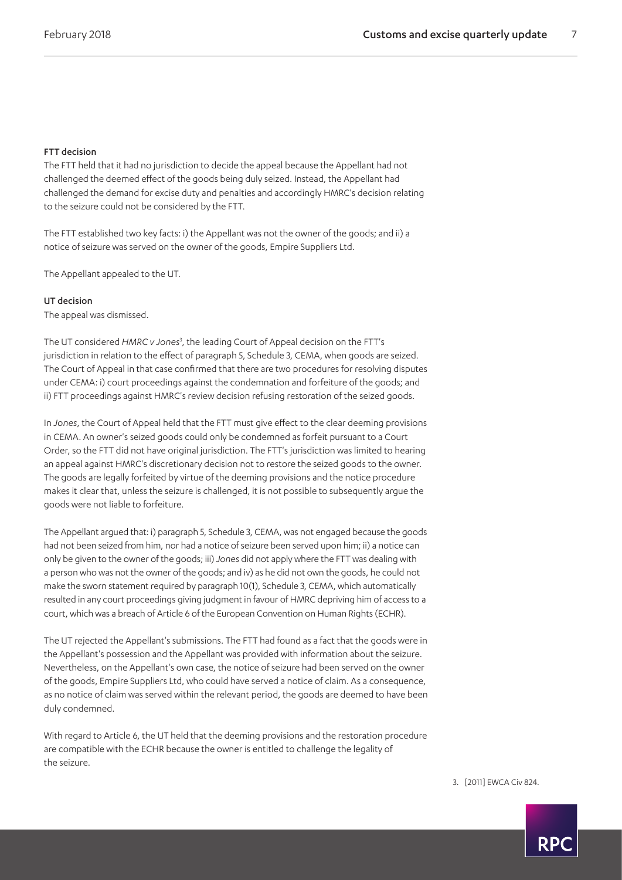#### FTT decision

The FTT held that it had no jurisdiction to decide the appeal because the Appellant had not challenged the deemed effect of the goods being duly seized. Instead, the Appellant had challenged the demand for excise duty and penalties and accordingly HMRC's decision relating to the seizure could not be considered by the FTT.

The FTT established two key facts: i) the Appellant was not the owner of the goods; and ii) a notice of seizure was served on the owner of the goods, Empire Suppliers Ltd.

The Appellant appealed to the UT.

#### UT decision

The appeal was dismissed.

The UT considered *HMRC v Jones*[3](#page-6-0) , the leading Court of Appeal decision on the FTT's jurisdiction in relation to the effect of paragraph 5, Schedule 3, CEMA, when goods are seized. The Court of Appeal in that case confirmed that there are two procedures for resolving disputes under CEMA: i) court proceedings against the condemnation and forfeiture of the goods; and ii) FTT proceedings against HMRC's review decision refusing restoration of the seized goods.

In *Jones*, the Court of Appeal held that the FTT must give effect to the clear deeming provisions in CEMA. An owner's seized goods could only be condemned as forfeit pursuant to a Court Order, so the FTT did not have original jurisdiction. The FTT's jurisdiction was limited to hearing an appeal against HMRC's discretionary decision not to restore the seized goods to the owner. The goods are legally forfeited by virtue of the deeming provisions and the notice procedure makes it clear that, unless the seizure is challenged, it is not possible to subsequently argue the goods were not liable to forfeiture.

The Appellant argued that: i) paragraph 5, Schedule 3, CEMA, was not engaged because the goods had not been seized from him, nor had a notice of seizure been served upon him; ii) a notice can only be given to the owner of the goods; iii) *Jones* did not apply where the FTT was dealing with a person who was not the owner of the goods; and iv) as he did not own the goods, he could not make the sworn statement required by paragraph 10(1), Schedule 3, CEMA, which automatically resulted in any court proceedings giving judgment in favour of HMRC depriving him of access to a court, which was a breach of Article 6 of the European Convention on Human Rights (ECHR).

The UT rejected the Appellant's submissions. The FTT had found as a fact that the goods were in the Appellant's possession and the Appellant was provided with information about the seizure. Nevertheless, on the Appellant's own case, the notice of seizure had been served on the owner of the goods, Empire Suppliers Ltd, who could have served a notice of claim. As a consequence, as no notice of claim was served within the relevant period, the goods are deemed to have been duly condemned.

With regard to Article 6, the UT held that the deeming provisions and the restoration procedure are compatible with the ECHR because the owner is entitled to challenge the legality of the seizure.

<span id="page-6-0"></span>3. [2011] EWCA Civ 824.

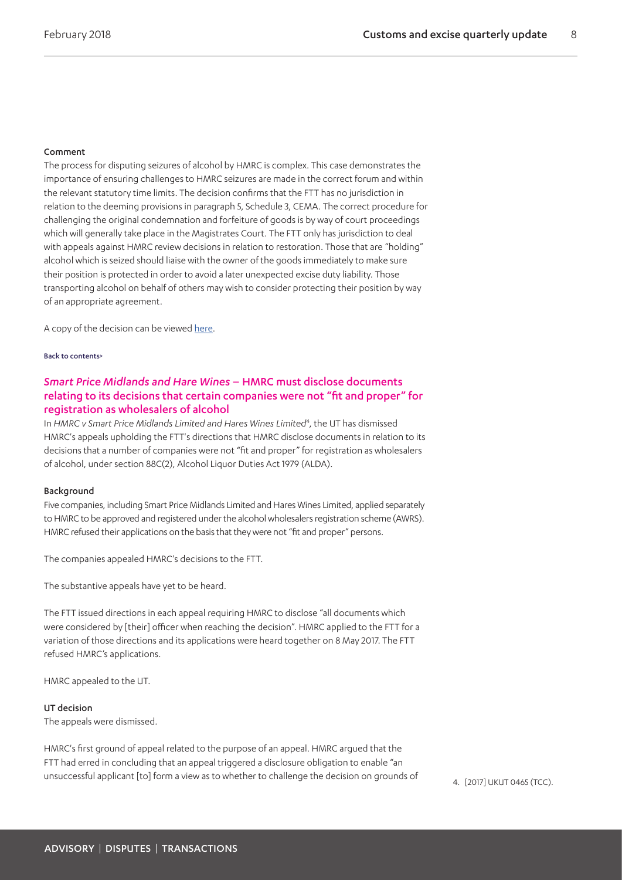#### Comment

The process for disputing seizures of alcohol by HMRC is complex. This case demonstrates the importance of ensuring challenges to HMRC seizures are made in the correct forum and within the relevant statutory time limits. The decision confirms that the FTT has no jurisdiction in relation to the deeming provisions in paragraph 5, Schedule 3, CEMA. The correct procedure for challenging the original condemnation and forfeiture of goods is by way of court proceedings which will generally take place in the Magistrates Court. The FTT only has jurisdiction to deal with appeals against HMRC review decisions in relation to restoration. Those that are "holding" alcohol which is seized should liaise with the owner of the goods immediately to make sure their position is protected in order to avoid a later unexpected excise duty liability. Those transporting alcohol on behalf of others may wish to consider protecting their position by way of an appropriate agreement.

A copy of the decision can be viewed [here.](http://www.bailii.org/uk/cases/UKUT/TCC/2017/439.html)

#### [Back to contents>](#page-0-0)

### <span id="page-7-1"></span>*Smart Price Midlands and Hare Wines* – HMRC must disclose documents relating to its decisions that certain companies were not "fit and proper" for registration as wholesalers of alcohol

In HMRC v Smart Price Midlands Limited and Hares Wines Limited<sup>[4](#page-7-0)</sup>, the UT has dismissed HMRC's appeals upholding the FTT's directions that HMRC disclose documents in relation to its decisions that a number of companies were not "fit and proper" for registration as wholesalers of alcohol, under section 88C(2), Alcohol Liquor Duties Act 1979 (ALDA).

#### Background

Five companies, including Smart Price Midlands Limited and Hares Wines Limited, applied separately to HMRC to be approved and registered under the alcohol wholesalers registration scheme (AWRS). HMRC refused their applications on the basis that they were not "fit and proper" persons.

The companies appealed HMRC's decisions to the FTT.

The substantive appeals have yet to be heard.

The FTT issued directions in each appeal requiring HMRC to disclose "all documents which were considered by [their] officer when reaching the decision". HMRC applied to the FTT for a variation of those directions and its applications were heard together on 8 May 2017. The FTT refused HMRC's applications.

HMRC appealed to the UT.

#### UT decision

The appeals were dismissed.

HMRC's first ground of appeal related to the purpose of an appeal. HMRC argued that the FTT had erred in concluding that an appeal triggered a disclosure obligation to enable "an unsuccessful applicant [to] form a view as to whether to challenge the decision on grounds of 4. [2017] UKUT 0465 (TCC).

<span id="page-7-0"></span>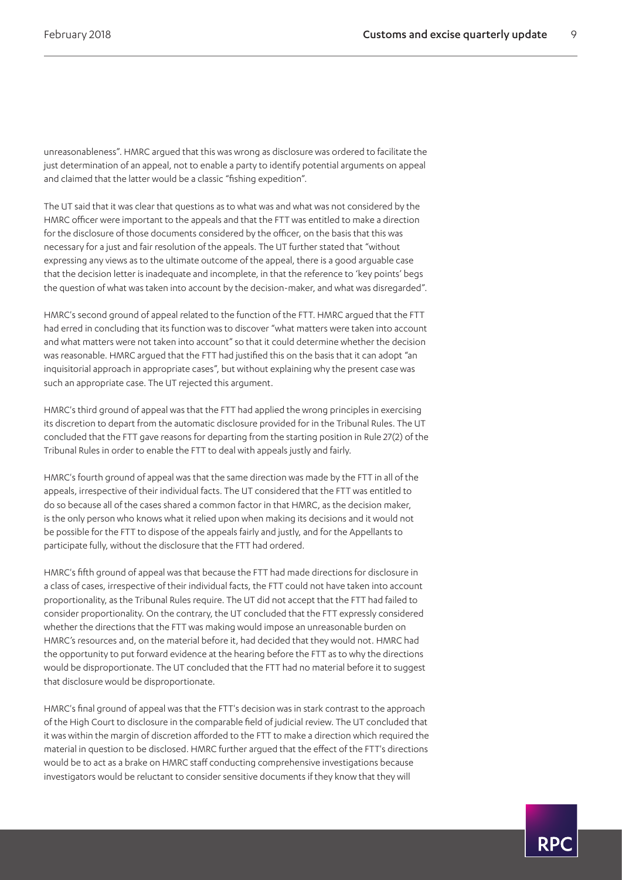unreasonableness". HMRC argued that this was wrong as disclosure was ordered to facilitate the just determination of an appeal, not to enable a party to identify potential arguments on appeal and claimed that the latter would be a classic "fishing expedition".

The UT said that it was clear that questions as to what was and what was not considered by the HMRC officer were important to the appeals and that the FTT was entitled to make a direction for the disclosure of those documents considered by the officer, on the basis that this was necessary for a just and fair resolution of the appeals. The UT further stated that "without expressing any views as to the ultimate outcome of the appeal, there is a good arguable case that the decision letter is inadequate and incomplete, in that the reference to 'key points' begs the question of what was taken into account by the decision-maker, and what was disregarded".

HMRC's second ground of appeal related to the function of the FTT. HMRC argued that the FTT had erred in concluding that its function was to discover "what matters were taken into account and what matters were not taken into account" so that it could determine whether the decision was reasonable. HMRC argued that the FTT had justified this on the basis that it can adopt "an inquisitorial approach in appropriate cases", but without explaining why the present case was such an appropriate case. The UT rejected this argument.

HMRC's third ground of appeal was that the FTT had applied the wrong principles in exercising its discretion to depart from the automatic disclosure provided for in the Tribunal Rules. The UT concluded that the FTT gave reasons for departing from the starting position in Rule 27(2) of the Tribunal Rules in order to enable the FTT to deal with appeals justly and fairly.

HMRC's fourth ground of appeal was that the same direction was made by the FTT in all of the appeals, irrespective of their individual facts. The UT considered that the FTT was entitled to do so because all of the cases shared a common factor in that HMRC, as the decision maker, is the only person who knows what it relied upon when making its decisions and it would not be possible for the FTT to dispose of the appeals fairly and justly, and for the Appellants to participate fully, without the disclosure that the FTT had ordered.

HMRC's fifth ground of appeal was that because the FTT had made directions for disclosure in a class of cases, irrespective of their individual facts, the FTT could not have taken into account proportionality, as the Tribunal Rules require. The UT did not accept that the FTT had failed to consider proportionality. On the contrary, the UT concluded that the FTT expressly considered whether the directions that the FTT was making would impose an unreasonable burden on HMRC's resources and, on the material before it, had decided that they would not. HMRC had the opportunity to put forward evidence at the hearing before the FTT as to why the directions would be disproportionate. The UT concluded that the FTT had no material before it to suggest that disclosure would be disproportionate.

HMRC's final ground of appeal was that the FTT's decision was in stark contrast to the approach of the High Court to disclosure in the comparable field of judicial review. The UT concluded that it was within the margin of discretion afforded to the FTT to make a direction which required the material in question to be disclosed. HMRC further argued that the effect of the FTT's directions would be to act as a brake on HMRC staff conducting comprehensive investigations because investigators would be reluctant to consider sensitive documents if they know that they will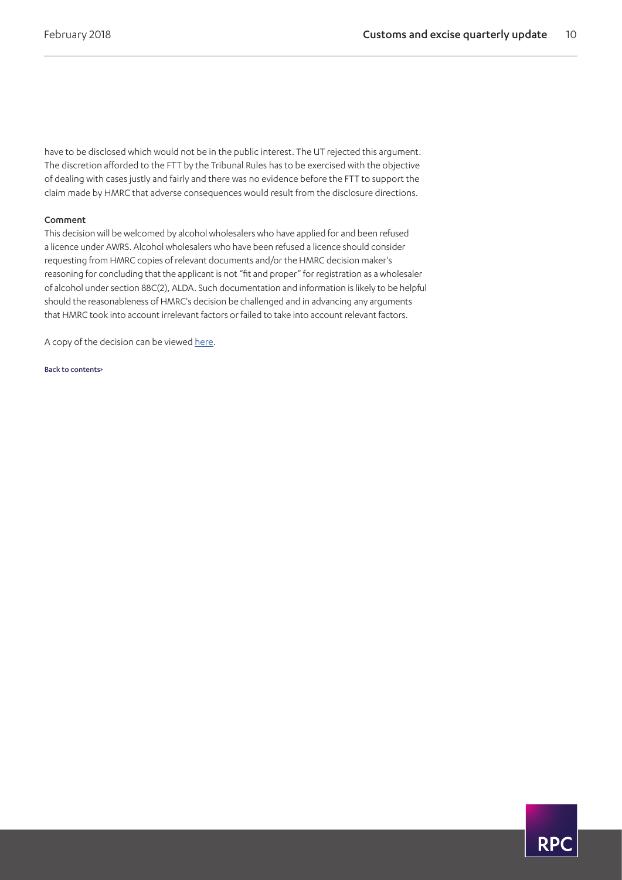have to be disclosed which would not be in the public interest. The UT rejected this argument. The discretion afforded to the FTT by the Tribunal Rules has to be exercised with the objective of dealing with cases justly and fairly and there was no evidence before the FTT to support the claim made by HMRC that adverse consequences would result from the disclosure directions.

#### Comment

This decision will be welcomed by alcohol wholesalers who have applied for and been refused a licence under AWRS. Alcohol wholesalers who have been refused a licence should consider requesting from HMRC copies of relevant documents and/or the HMRC decision maker's reasoning for concluding that the applicant is not "fit and proper" for registration as a wholesaler of alcohol under section 88C(2), ALDA. Such documentation and information is likely to be helpful should the reasonableness of HMRC's decision be challenged and in advancing any arguments that HMRC took into account irrelevant factors or failed to take into account relevant factors.

A copy of the decision can be viewed [here](https://www.11kbw.com/wp-content/uploads/HMRC-v-Hare-Wines-Ltd-for-parties.pdf).

[Back to contents>](#page-0-0)